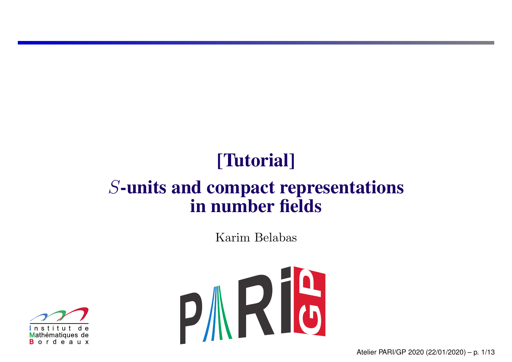# [Tutorial]

#### *S*-units and compact representations in number fields

Karim Belabas



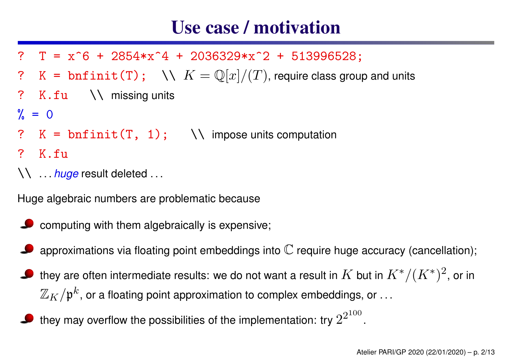#### Use case / motivation

- ?  $T = x^6 + 2854*x^4 + 2036329*x^2 + 513996528$ ;
- ? K =  $\text{bnfinite(T)}$ ;  $\forall \forall K = \mathbb{Q}[x]/(T)$ , require class group and units
- ? K.fu  $\setminus$  missing units
- $\% = 0$
- ?  $K = \text{bnfinite}(T, 1); \quad \text{N} \text{ impose units computation}$
- ? K.fu
- \\ . . . *huge* result deleted . . .

Huge algebraic numbers are problematic because

- $\bullet$  computing with them algebraically is expensive;
- approximations via floating point embeddings into  $\mathbb C$  require huge accuracy (cancellation);
- they are often intermediate results: we do not want a result in  $K$  but in  $K^*/(K^*)^2$ , or in  $\mathbb{Z}_K/\mathfrak{p}^k$ , or a floating point approximation to complex embeddings, or ...
- they may overflow the possibilities of the implementation: try  $2^{2^{100}}$ .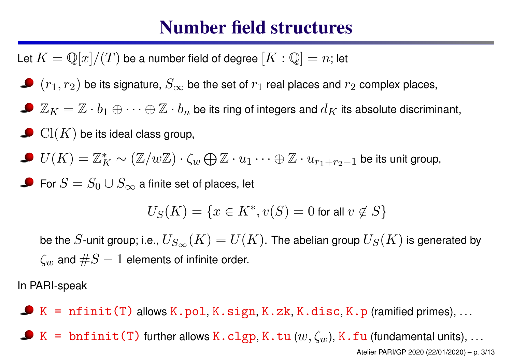#### Number field structures

Let  $K = \mathbb{Q}[x]/(T)$  be a number field of degree  $[K:\mathbb{Q}] = n;$  let

- $(r_1,r_2)$  be its signature,  $S_\infty$  be the set of  $r_1$  real places and  $r_2$  complex places,
- $\mathbb{Z}_K=\mathbb{Z}\cdot b_1\oplus\cdots\oplus\mathbb{Z}\cdot b_n$  be its ring of integers and  $d_K$  its absolute discriminant,
- $\operatorname{Cl}(K)$  be its ideal class group,
- $U(K)=\mathbb{Z}_{I}^{*}$ *K* 〜  $(\mathbb{Z}/w\mathbb{Z})\cdot \zeta_{w} \bigoplus \mathbb{Z}\cdot u_1\cdots \oplus \mathbb{Z}\cdot u_{r_1+r_2-1}$  be its unit group,

For  $S=S_0\cup S_\infty$  a finite set of places, let

$$
U_S(K) = \{ x \in K^*, v(S) = 0 \text{ for all } v \notin S \}
$$

be the  $S$ -unit group; i.e.,  $U_{S_\infty}(K) = U(K)$ . The abelian group  $U_S(K)$  is generated by  $\zeta_w$  and  $\#S-1$  elements of infinite order.

In PARI-speak

 $\blacktriangleright$  K = nfinit(T) allows K.pol, K.sign, K.zk, K.disc, K.p (ramified primes), ...

 $\bullet$  K = bnfinit(T) further allows K.clgp, K.tu ( $w, \zeta_w$ ), K.fu (fundamental units), ...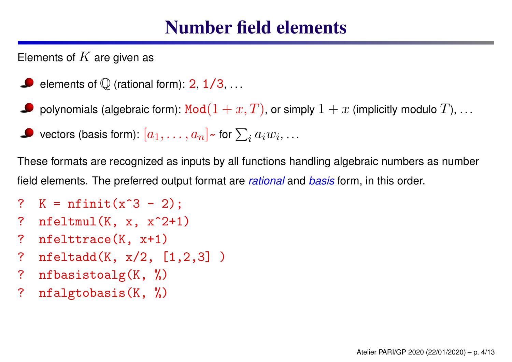#### Number field elements

Elements of  $K$  are given as

- elements of  ${\mathbb Q}$  (rational form): 2, 1/3,  $\dots$
- polynomials (algebraic form):  $\texttt{Mod}(1+x,T)$ , or simply  $1+x$  (implicitly modulo  $T$ ),  $\ldots$
- $\mathcal{L}_i$  vectors (basis form):  $[a_1, \ldots, a_n]$   $\sim$  for  $\sum_i a_i w_i, \ldots$

These formats are recognized as inputs by all functions handling algebraic numbers as number field elements. The preferred output format are *rational* and *basis* form, in this order.

- ?  $K = n$ finit(x^3 2);
- ?  $nfeltmul(K, x, x^2+1)$
- ? nfelttrace(K, x+1)
- ? nfeltadd(K, x/2, [1,2,3] )
- ? nfbasistoalg(K, %)
- ? nfalgtobasis(K, %)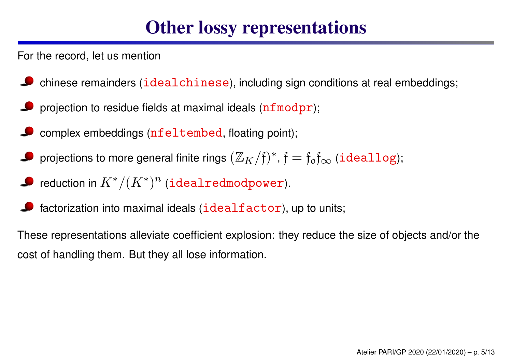## Other lossy representations

For the record, let us mention

- chinese remainders (idealchinese), including sign conditions at real embeddings;
- projection to residue fields at maximal ideals (nfmodpr);
- complex embeddings (nfeltembed, floating point);
- projections to more general finite rings  $(\mathbb{Z}_K/\mathfrak{f})^*, \mathfrak{f}=\mathfrak{f}_\mathfrak{d}\mathfrak{f}_\infty$  ( $\mathtt{ideallog}$ );
- reduction in  $K^*/(K^*)^n$  (<code>idealredmodpower</code>).
- factorization into maximal ideals (idealfactor), up to units;

These representations alleviate coefficient explosion: they reduce the size of objects and/or the cost of handling them. But they all lose information.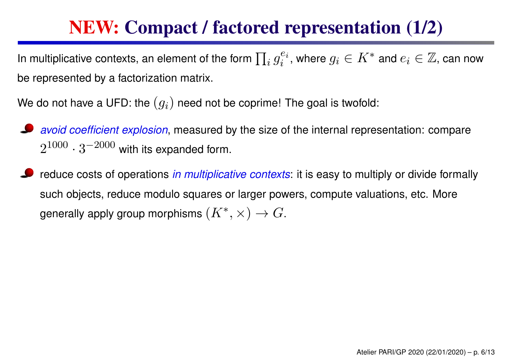# NEW: Compact / factored representation (1/2)

In multiplicative contexts, an element of the form  $\prod_i g_i^{e_i}$ , where  $g_i \in K^*$  and  $e_i \in \mathbb{Z}$ , can now be represented by <sup>a</sup> factorization matrix.

We do not have a UFD: the  $(g_i)$  need not be coprime! The goal is twofold:

- *avoid coefficient explosion*, measured by the size of the internal representation: compare  $2^{1000}\cdot 3^{-2000}$  with its expanded form.
- reduce costs of operations *in multiplicative contexts*: it is easy to multiply or divide formally such objects, reduce modulo squares or larger powers, compute valuations, etc. More generally apply group morphisms  $(K^*,\times) \to G.$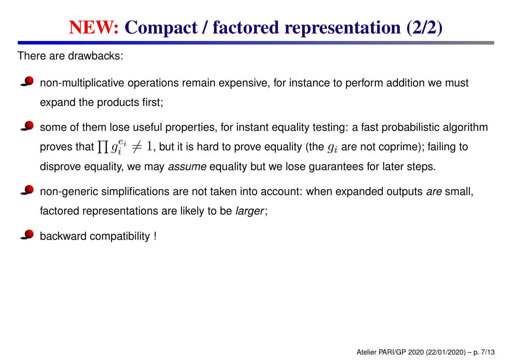# NEW: Compact / factored representation (2/2)

There are drawbacks:

- non-multiplicative operations remain expensive, for instance to perform addition we must expand the products first;
- some of them lose useful properties, for instant equality testing: <sup>a</sup> fast probabilistic algorithm proves that  $\prod g_i^{e_i}$  $e^{e_i}_i \neq 1$ , but it is hard to prove equality (the  $g_i$  are not coprime); failing to disprove equality, we may *assume* equality but we lose guarantees for later steps.
- non-generic simplifications are not taken into account: when expanded outputs *are* small, factored representations are likely to be *larger*;
- backward compatibility !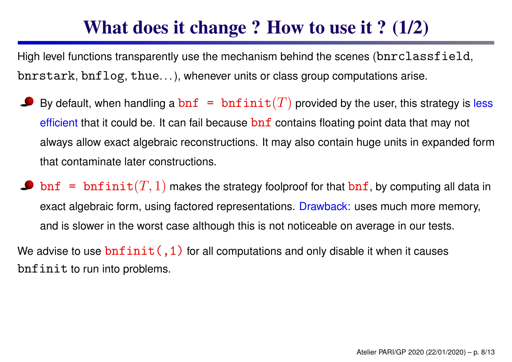# What does it change ? How to use it ? (1/2)

High level functions transparently use the mechanism behind the scenes (bnrclassfield, bnrstark, bnflog, thue. . . ), whenever units or class group computations arise.

- By default, when handling a  $\texttt{bnf = bnfinit}(T)$  provided by the user, this strategy is less efficient that it could be. It can fail because  $\text{bnf}$  contains floating point data that may not always allow exact algebraic reconstructions. It may also contain huge units in expanded form that contaminate later constructions.
- $\texttt{bnf = bnfinite}(T,1)$  makes the strategy foolproof for that  $\texttt{bnf}$ , by computing all data in exact algebraic form, using factored representations. Drawback: uses much more memory, and is slower in the worst case although this is not noticeable on average in our tests.

We advise to use  $\text{bnfinite}(1)$  for all computations and only disable it when it causes bnfinit to run into problems.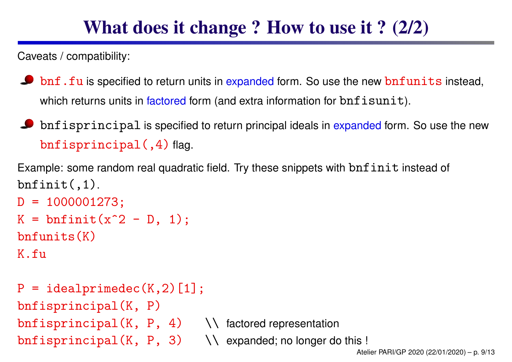### What does it change ? How to use it ? (2/2)

Caveats / compatibility:

- $\bullet$  bnf.fu is specified to return units in expanded form. So use the new bnfunits instead, which returns units in factored form (and extra information for bnfisunit).
- $\bullet$  bnfisprincipal is specified to return principal ideals in expanded form. So use the new bnfisprincipal(,4) flag.

Example: some random real quadratic field. Try these snippets with bnfinit instead of  $bnfinite(1).$ 

```
D = 1000001273;K = \text{bnfinite}(x^2 - D, 1);bnfunits(K)
K.fu
```

```
P = idealprimedec(K, 2)[1];bnfisprincipal(K, P)
\text{bnf}isprincipal(K, P, 4) \\ factored representation
\text{bnf is principal}(K, P, 3) \\ expanded; no longer do this !
```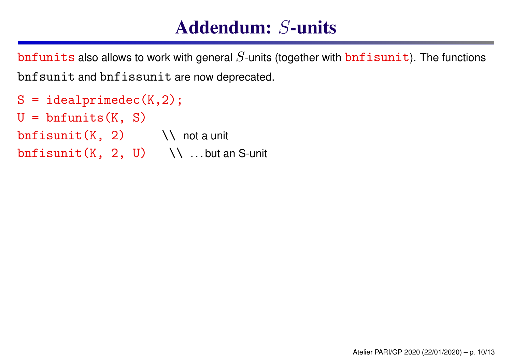### Addendum: *S*-units

bnfunits also allows to work with general  $S$ -units (together with  $\text{bnfixunit}$ ). The functions bnfsunit and bnfissunit are now deprecated.

```
S = idealprimedec(K, 2);U = bnfunits(K, S)
bnf isunit(K, 2) \\ not a unit
bnf isunit(K, 2, U) \\ ...but an S-unit
```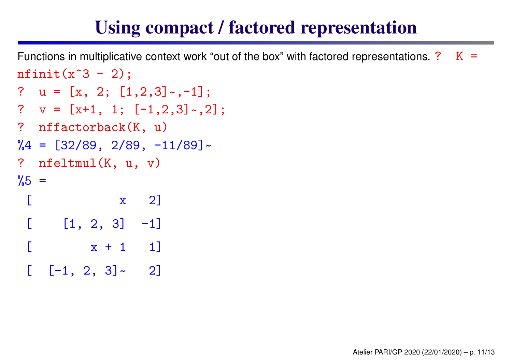# Using compact / factored representation

```
Functions in multiplicative context work "out of the box" with factored representations. ? K =nfinit(x^3 - 2);? u = [x, 2; [1,2,3]
~,-1];
? v = [x+1, 1; [-1,2,3]
~,2];
? nffactorback(K, u)
%4 = [32/89, 2/89, -11/89]
~
? nfeltmul(K, u, v)
\frac{9}{5} =
 \begin{bmatrix} x & 2 \end{bmatrix}[1, 2, 3] -1]
    x + 1 1]
  [-1, 2, 3] \sim 2]
```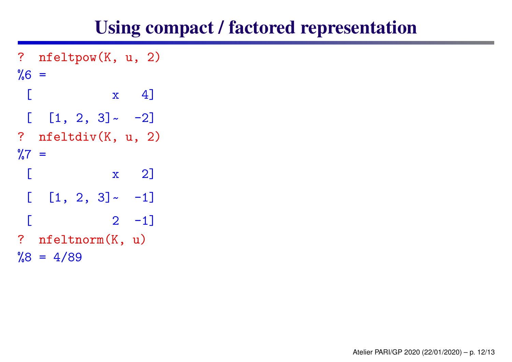### Using compact / factored representation

```
? nfeltpow(K, u, 2)
%6 =\begin{bmatrix} x & 4 \end{bmatrix}[ [1, 2, 3]
~ -2]
? nfeltdiv(K, u, 2)
\frac{9}{6}7 =[ x 2]
 [ [1, 2, 3]
~ -1]
          [ 2 -1]? nfeltnorm(K, u)
\%8 = 4/89
```